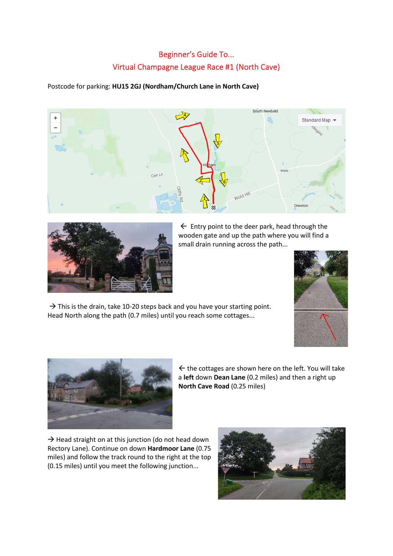## Beginner's Guide To... Virtual Champagne League Race #1 (North Cave)

Postcode for parking: HU15 2GJ (Nordham/Church Lane in North Cave)





 $\leftarrow$  Entry point to the deer park, head through the wooden gate and up the path where you will find a small drain running across the path...



 $\rightarrow$  This is the drain, take 10-20 steps back and you have your starting point. Head North along the path (0.7 miles) until you reach some cottages...



 $\leftarrow$  the cottages are shown here on the left. You will take a left down Dean Lane (0.2 miles) and then a right up North Cave Road (0.25 miles)

 $\rightarrow$  Head straight on at this junction (do not head down Rectory Lane). Continue on down Hardmoor Lane (0.75 miles) and follow the track round to the right at the top (0.15 miles) until you meet the following junction...